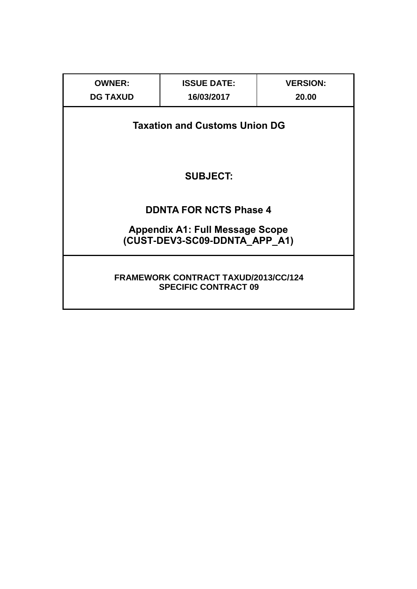| <b>OWNER:</b><br><b>DG TAXUD</b> | <b>ISSUE DATE:</b><br>16/03/2017                                           | <b>VERSION:</b><br>20.00 |
|----------------------------------|----------------------------------------------------------------------------|--------------------------|
|                                  | <b>Taxation and Customs Union DG</b>                                       |                          |
|                                  | <b>SUBJECT:</b>                                                            |                          |
|                                  |                                                                            |                          |
|                                  | <b>DDNTA FOR NCTS Phase 4</b>                                              |                          |
|                                  | <b>Appendix A1: Full Message Scope</b><br>(CUST-DEV3-SC09-DDNTA_APP_A1)    |                          |
|                                  | <b>FRAMEWORK CONTRACT TAXUD/2013/CC/124</b><br><b>SPECIFIC CONTRACT 09</b> |                          |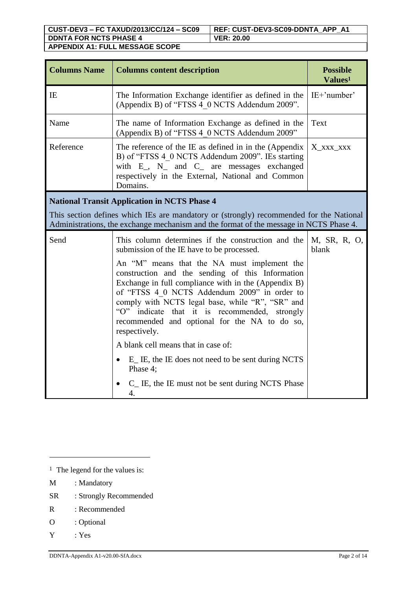| <b>Columns Name</b> | <b>Columns content description</b>                                                                                                                                                                                                                                                                                                                                             | <b>Possible</b><br>Values <sup>1</sup> |
|---------------------|--------------------------------------------------------------------------------------------------------------------------------------------------------------------------------------------------------------------------------------------------------------------------------------------------------------------------------------------------------------------------------|----------------------------------------|
| IE                  | The Information Exchange identifier as defined in the<br>(Appendix B) of "FTSS 4 0 NCTS Addendum 2009".                                                                                                                                                                                                                                                                        | $IE+'number'$                          |
| Name                | The name of Information Exchange as defined in the<br>(Appendix B) of "FTSS 4 0 NCTS Addendum 2009"                                                                                                                                                                                                                                                                            | Text                                   |
| Reference           | The reference of the IE as defined in in the (Appendix<br>B) of "FTSS 4 0 NCTS Addendum 2009". IEs starting<br>with E_, N_ and C_ are messages exchanged<br>respectively in the External, National and Common<br>Domains.                                                                                                                                                      | X_XXX_XXX                              |
|                     | <b>National Transit Application in NCTS Phase 4</b>                                                                                                                                                                                                                                                                                                                            |                                        |
|                     | This section defines which IEs are mandatory or (strongly) recommended for the National<br>Administrations, the exchange mechanism and the format of the message in NCTS Phase 4.                                                                                                                                                                                              |                                        |
| Send                | This column determines if the construction and the<br>submission of the IE have to be processed.                                                                                                                                                                                                                                                                               | M, SR, R, O,<br>blank                  |
|                     | An "M" means that the NA must implement the<br>construction and the sending of this Information<br>Exchange in full compliance with in the (Appendix B)<br>of "FTSS 4 0 NCTS Addendum 2009" in order to<br>comply with NCTS legal base, while "R", "SR" and<br>"O" indicate that it is recommended, strongly<br>recommended and optional for the NA to do so,<br>respectively. |                                        |
|                     | A blank cell means that in case of:                                                                                                                                                                                                                                                                                                                                            |                                        |
|                     | E_ IE, the IE does not need to be sent during NCTS<br>Phase 4;                                                                                                                                                                                                                                                                                                                 |                                        |
|                     | C <sub>I</sub> IE, the IE must not be sent during NCTS Phase<br>4.                                                                                                                                                                                                                                                                                                             |                                        |

- SR : Strongly Recommended
- R : Recommended
- O : Optional
- Y : Yes

 $\overline{a}$ 

<sup>&</sup>lt;sup>1</sup> The legend for the values is:

M : Mandatory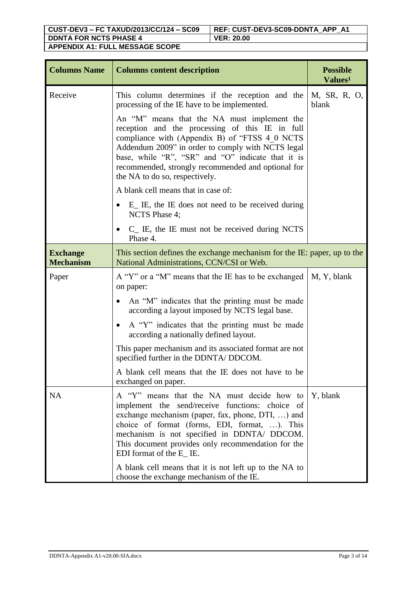| <b>Columns Name</b>                 | <b>Columns content description</b>                                                                                                                                                                                                                                                                                                                 | <b>Possible</b><br>Values <sup>1</sup> |
|-------------------------------------|----------------------------------------------------------------------------------------------------------------------------------------------------------------------------------------------------------------------------------------------------------------------------------------------------------------------------------------------------|----------------------------------------|
| Receive                             | This column determines if the reception and the<br>processing of the IE have to be implemented.                                                                                                                                                                                                                                                    | M, SR, R, O,<br>blank                  |
|                                     | An "M" means that the NA must implement the<br>reception and the processing of this IE in full<br>compliance with (Appendix B) of "FTSS 4 0 NCTS<br>Addendum 2009" in order to comply with NCTS legal<br>base, while "R", "SR" and "O" indicate that it is<br>recommended, strongly recommended and optional for<br>the NA to do so, respectively. |                                        |
|                                     | A blank cell means that in case of:                                                                                                                                                                                                                                                                                                                |                                        |
|                                     | E <sub>l</sub> IE, the IE does not need to be received during<br>$\bullet$<br>NCTS Phase 4;                                                                                                                                                                                                                                                        |                                        |
|                                     | $C_{\text{L}}$ IE, the IE must not be received during NCTS<br>Phase 4.                                                                                                                                                                                                                                                                             |                                        |
| <b>Exchange</b><br><b>Mechanism</b> | This section defines the exchange mechanism for the IE: paper, up to the<br>National Administrations, CCN/CSI or Web.                                                                                                                                                                                                                              |                                        |
| Paper                               | A "Y" or a "M" means that the IE has to be exchanged<br>on paper:                                                                                                                                                                                                                                                                                  | M, Y, blank                            |
|                                     | An "M" indicates that the printing must be made<br>$\bullet$<br>according a layout imposed by NCTS legal base.                                                                                                                                                                                                                                     |                                        |
|                                     | A "Y" indicates that the printing must be made<br>٠<br>according a nationally defined layout.                                                                                                                                                                                                                                                      |                                        |
|                                     | This paper mechanism and its associated format are not<br>specified further in the DDNTA/ DDCOM.                                                                                                                                                                                                                                                   |                                        |
|                                     | A blank cell means that the IE does not have to be<br>exchanged on paper.                                                                                                                                                                                                                                                                          |                                        |
| <b>NA</b>                           | A "Y" means that the NA must decide how to<br>implement the send/receive functions: choice of<br>exchange mechanism (paper, fax, phone, DTI, ) and<br>choice of format (forms, EDI, format, ). This<br>mechanism is not specified in DDNTA/ DDCOM.<br>This document provides only recommendation for the<br>EDI format of the E_ IE.               | Y, blank                               |
|                                     | A blank cell means that it is not left up to the NA to<br>choose the exchange mechanism of the IE.                                                                                                                                                                                                                                                 |                                        |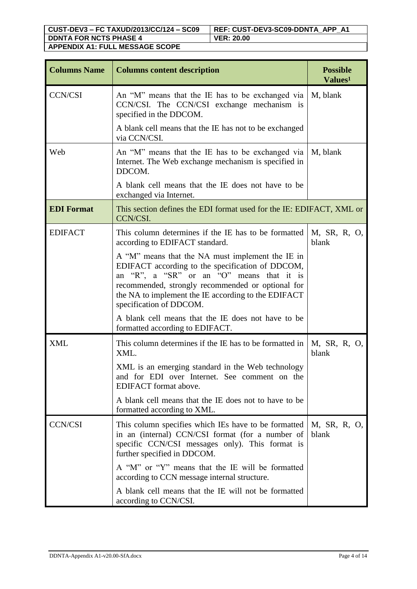| <b>Columns Name</b> | <b>Columns content description</b>                                                                                                                                                                                                                                                       | <b>Possible</b><br>Values <sup>1</sup> |
|---------------------|------------------------------------------------------------------------------------------------------------------------------------------------------------------------------------------------------------------------------------------------------------------------------------------|----------------------------------------|
| <b>CCN/CSI</b>      | An "M" means that the IE has to be exchanged via<br>CCN/CSI. The CCN/CSI exchange mechanism is<br>specified in the DDCOM.                                                                                                                                                                | M, blank                               |
|                     | A blank cell means that the IE has not to be exchanged<br>via CCN/CSI.                                                                                                                                                                                                                   |                                        |
| Web                 | An "M" means that the IE has to be exchanged via<br>Internet. The Web exchange mechanism is specified in<br>DDCOM.                                                                                                                                                                       | M, blank                               |
|                     | A blank cell means that the IE does not have to be<br>exchanged via Internet.                                                                                                                                                                                                            |                                        |
| <b>EDI</b> Format   | This section defines the EDI format used for the IE: EDIFACT, XML or<br>CCN/CSI.                                                                                                                                                                                                         |                                        |
| <b>EDIFACT</b>      | This column determines if the IE has to be formatted<br>according to EDIFACT standard.                                                                                                                                                                                                   | M, SR, R, O,<br>blank                  |
|                     | A "M" means that the NA must implement the IE in<br>EDIFACT according to the specification of DDCOM,<br>an "R", a "SR" or an "O" means that it is<br>recommended, strongly recommended or optional for<br>the NA to implement the IE according to the EDIFACT<br>specification of DDCOM. |                                        |
|                     | A blank cell means that the IE does not have to be<br>formatted according to EDIFACT.                                                                                                                                                                                                    |                                        |
| <b>XML</b>          | This column determines if the IE has to be formatted in<br>XML.                                                                                                                                                                                                                          | M, SR, R, O,<br>blank                  |
|                     | XML is an emerging standard in the Web technology<br>and for EDI over Internet. See comment on the<br>EDIFACT format above.                                                                                                                                                              |                                        |
|                     | A blank cell means that the IE does not to have to be<br>formatted according to XML.                                                                                                                                                                                                     |                                        |
| <b>CCN/CSI</b>      | This column specifies which IEs have to be formatted<br>in an (internal) CCN/CSI format (for a number of<br>specific CCN/CSI messages only). This format is<br>further specified in DDCOM.                                                                                               | M, SR, R, O,<br>blank                  |
|                     | A "M" or "Y" means that the IE will be formatted<br>according to CCN message internal structure.                                                                                                                                                                                         |                                        |
|                     | A blank cell means that the IE will not be formatted<br>according to CCN/CSI.                                                                                                                                                                                                            |                                        |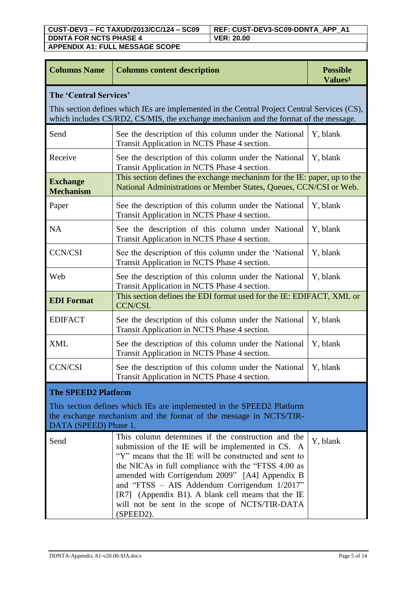| <b>Columns Name</b>                 | <b>Columns content description</b>                                                                                                                                                                                                                                                                                                                                                                                                             | <b>Possible</b><br>Values <sup>1</sup> |
|-------------------------------------|------------------------------------------------------------------------------------------------------------------------------------------------------------------------------------------------------------------------------------------------------------------------------------------------------------------------------------------------------------------------------------------------------------------------------------------------|----------------------------------------|
| The 'Central Services'              | This section defines which IEs are implemented in the Central Project Central Services (CS),<br>which includes CS/RD2, CS/MIS, the exchange mechanism and the format of the message.                                                                                                                                                                                                                                                           |                                        |
| Send                                | See the description of this column under the National<br>Transit Application in NCTS Phase 4 section.                                                                                                                                                                                                                                                                                                                                          | Y, blank                               |
| Receive                             | See the description of this column under the National<br>Transit Application in NCTS Phase 4 section.                                                                                                                                                                                                                                                                                                                                          | Y, blank                               |
| <b>Exchange</b><br><b>Mechanism</b> | This section defines the exchange mechanism for the IE: paper, up to the<br>National Administrations or Member States, Queues, CCN/CSI or Web.                                                                                                                                                                                                                                                                                                 |                                        |
| Paper                               | See the description of this column under the National<br>Transit Application in NCTS Phase 4 section.                                                                                                                                                                                                                                                                                                                                          | Y, blank                               |
| <b>NA</b>                           | See the description of this column under National<br>Transit Application in NCTS Phase 4 section.                                                                                                                                                                                                                                                                                                                                              | Y, blank                               |
| <b>CCN/CSI</b>                      | See the description of this column under the 'National<br>Transit Application in NCTS Phase 4 section.                                                                                                                                                                                                                                                                                                                                         | Y, blank                               |
| Web                                 | See the description of this column under the National<br>Transit Application in NCTS Phase 4 section.                                                                                                                                                                                                                                                                                                                                          | Y, blank                               |
| <b>EDI</b> Format                   | This section defines the EDI format used for the IE: EDIFACT, XML or<br>CCN/CSI.                                                                                                                                                                                                                                                                                                                                                               |                                        |
| <b>EDIFACT</b>                      | See the description of this column under the National<br>Transit Application in NCTS Phase 4 section.                                                                                                                                                                                                                                                                                                                                          | Y, blank                               |
| <b>XML</b>                          | See the description of this column under the National<br>Transit Application in NCTS Phase 4 section.                                                                                                                                                                                                                                                                                                                                          | Y, blank                               |
| <b>CCN/CSI</b>                      | See the description of this column under the National<br>Transit Application in NCTS Phase 4 section.                                                                                                                                                                                                                                                                                                                                          | Y, blank                               |
| <b>The SPEED2 Platform</b>          |                                                                                                                                                                                                                                                                                                                                                                                                                                                |                                        |
| DATA (SPEED) Phase 1.               | This section defines which IEs are implemented in the SPEED2 Platform<br>the exchange mechanism and the format of the message in NCTS/TIR-                                                                                                                                                                                                                                                                                                     |                                        |
| Send                                | This column determines if the construction and the<br>submission of the IE will be implemented in CS. A<br>"Y" means that the IE will be constructed and sent to<br>the NICAs in full compliance with the "FTSS 4.00 as<br>amended with Corrigendum 2009" [A4] Appendix B<br>and "FTSS - AIS Addendum Corrigendum 1/2017"<br>[R7] (Appendix B1). A blank cell means that the IE<br>will not be sent in the scope of NCTS/TIR-DATA<br>(SPEED2). | Y, blank                               |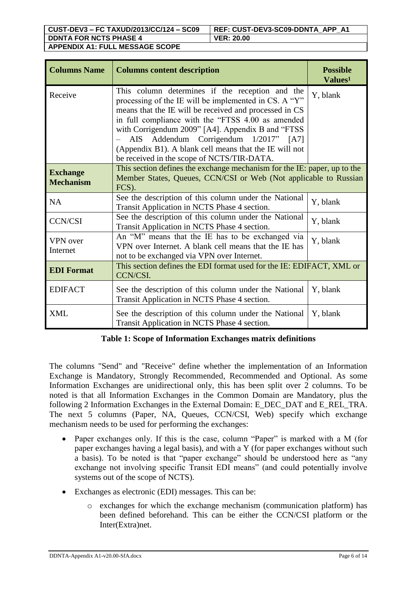| <b>Columns Name</b>                 | <b>Columns content description</b>                                                                                                                                                                                                                                                                                                                                                                                             | <b>Possible</b><br>Values <sup>1</sup> |
|-------------------------------------|--------------------------------------------------------------------------------------------------------------------------------------------------------------------------------------------------------------------------------------------------------------------------------------------------------------------------------------------------------------------------------------------------------------------------------|----------------------------------------|
| Receive                             | This column determines if the reception and the<br>processing of the IE will be implemented in CS. A "Y"<br>means that the IE will be received and processed in CS<br>in full compliance with the "FTSS 4.00 as amended<br>with Corrigendum 2009" [A4]. Appendix B and "FTSS"<br>AIS Addendum Corrigendum 1/2017" [A7]<br>(Appendix B1). A blank cell means that the IE will not<br>be received in the scope of NCTS/TIR-DATA. | Y, blank                               |
| <b>Exchange</b><br><b>Mechanism</b> | This section defines the exchange mechanism for the IE: paper, up to the<br>Member States, Queues, CCN/CSI or Web (Not applicable to Russian<br>FCS).                                                                                                                                                                                                                                                                          |                                        |
| <b>NA</b>                           | See the description of this column under the National<br>Transit Application in NCTS Phase 4 section.                                                                                                                                                                                                                                                                                                                          | Y, blank                               |
| <b>CCN/CSI</b>                      | See the description of this column under the National<br>Transit Application in NCTS Phase 4 section.                                                                                                                                                                                                                                                                                                                          | Y, blank                               |
| <b>VPN</b> over<br>Internet         | An "M" means that the IE has to be exchanged via<br>VPN over Internet. A blank cell means that the IE has<br>not to be exchanged via VPN over Internet.                                                                                                                                                                                                                                                                        | Y, blank                               |
| <b>EDI</b> Format                   | This section defines the EDI format used for the IE: EDIFACT, XML or<br>CCN/CSI.                                                                                                                                                                                                                                                                                                                                               |                                        |
| <b>EDIFACT</b>                      | See the description of this column under the National<br>Transit Application in NCTS Phase 4 section.                                                                                                                                                                                                                                                                                                                          | Y, blank                               |
| <b>XML</b>                          | See the description of this column under the National<br>Transit Application in NCTS Phase 4 section.                                                                                                                                                                                                                                                                                                                          | Y, blank                               |

# **Table 1: Scope of Information Exchanges matrix definitions**

The columns "Send" and "Receive" define whether the implementation of an Information Exchange is Mandatory, Strongly Recommended, Recommended and Optional. As some Information Exchanges are unidirectional only, this has been split over 2 columns. To be noted is that all Information Exchanges in the Common Domain are Mandatory, plus the following 2 Information Exchanges in the External Domain: E\_DEC\_DAT and E\_REL\_TRA. The next 5 columns (Paper, NA, Queues, CCN/CSI, Web) specify which exchange mechanism needs to be used for performing the exchanges:

- Paper exchanges only. If this is the case, column "Paper" is marked with a M (for paper exchanges having a legal basis), and with a Y (for paper exchanges without such a basis). To be noted is that "paper exchange" should be understood here as "any exchange not involving specific Transit EDI means" (and could potentially involve systems out of the scope of NCTS).
- Exchanges as electronic (EDI) messages. This can be:
	- o exchanges for which the exchange mechanism (communication platform) has been defined beforehand. This can be either the CCN/CSI platform or the Inter(Extra)net.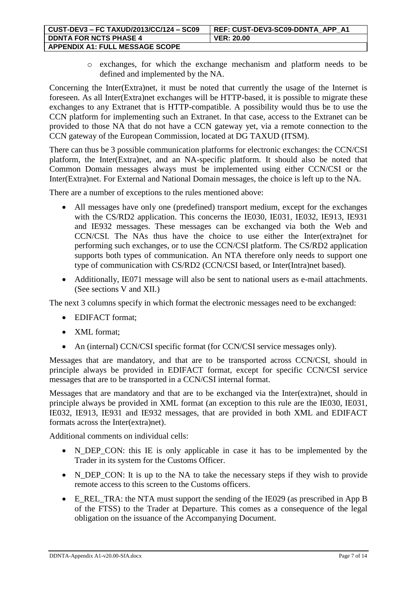| CUST-DEV3 - FC TAXUD/2013/CC/124 - SC09 | REF: CUST-DEV3-SC09-DDNTA APP A1 |
|-----------------------------------------|----------------------------------|
| <b>DDNTA FOR NCTS PHASE 4</b>           | <b>VER: 20.00</b>                |
| <b>APPENDIX A1: FULL MESSAGE SCOPE</b>  |                                  |

o exchanges, for which the exchange mechanism and platform needs to be defined and implemented by the NA.

Concerning the Inter(Extra)net, it must be noted that currently the usage of the Internet is foreseen. As all Inter(Extra)net exchanges will be HTTP-based, it is possible to migrate these exchanges to any Extranet that is HTTP-compatible. A possibility would thus be to use the CCN platform for implementing such an Extranet. In that case, access to the Extranet can be provided to those NA that do not have a CCN gateway yet, via a remote connection to the CCN gateway of the European Commission, located at DG TAXUD (ITSM).

There can thus be 3 possible communication platforms for electronic exchanges: the CCN/CSI platform, the Inter(Extra)net, and an NA-specific platform. It should also be noted that Common Domain messages always must be implemented using either CCN/CSI or the Inter(Extra)net. For External and National Domain messages, the choice is left up to the NA.

There are a number of exceptions to the rules mentioned above:

- All messages have only one (predefined) transport medium, except for the exchanges with the CS/RD2 application. This concerns the IE030, IE031, IE032, IE913, IE931 and IE932 messages. These messages can be exchanged via both the Web and CCN/CSI. The NAs thus have the choice to use either the Inter(extra)net for performing such exchanges, or to use the CCN/CSI platform. The CS/RD2 application supports both types of communication. An NTA therefore only needs to support one type of communication with CS/RD2 (CCN/CSI based, or Inter(Intra)net based).
- Additionally, IE071 message will also be sent to national users as e-mail attachments. (See sections V and XII.)

The next 3 columns specify in which format the electronic messages need to be exchanged:

- EDIFACT format;
- XML format:
- An (internal) CCN/CSI specific format (for CCN/CSI service messages only).

Messages that are mandatory, and that are to be transported across CCN/CSI, should in principle always be provided in EDIFACT format, except for specific CCN/CSI service messages that are to be transported in a CCN/CSI internal format.

Messages that are mandatory and that are to be exchanged via the Inter(extra)net, should in principle always be provided in XML format (an exception to this rule are the IE030, IE031, IE032, IE913, IE931 and IE932 messages, that are provided in both XML and EDIFACT formats across the Inter(extra)net).

Additional comments on individual cells:

- N\_DEP\_CON: this IE is only applicable in case it has to be implemented by the Trader in its system for the Customs Officer.
- N\_DEP\_CON: It is up to the NA to take the necessary steps if they wish to provide remote access to this screen to the Customs officers.
- E\_REL\_TRA: the NTA must support the sending of the IE029 (as prescribed in App B of the FTSS) to the Trader at Departure. This comes as a consequence of the legal obligation on the issuance of the Accompanying Document.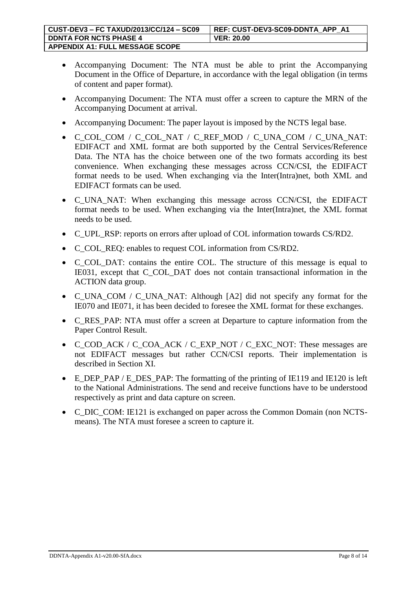| CUST-DEV3 - FC TAXUD/2013/CC/124 - SC09 | REF: CUST-DEV3-SC09-DDNTA APP A1 |
|-----------------------------------------|----------------------------------|
| <b>DDNTA FOR NCTS PHASE 4</b>           | <b>VER: 20.00</b>                |
| <b>APPENDIX A1: FULL MESSAGE SCOPE</b>  |                                  |

- Accompanying Document: The NTA must be able to print the Accompanying Document in the Office of Departure, in accordance with the legal obligation (in terms of content and paper format).
- Accompanying Document: The NTA must offer a screen to capture the MRN of the Accompanying Document at arrival.
- Accompanying Document: The paper layout is imposed by the NCTS legal base.
- C\_COL\_COM / C\_COL\_NAT / C\_REF\_MOD / C\_UNA\_COM / C\_UNA\_NAT: EDIFACT and XML format are both supported by the Central Services/Reference Data. The NTA has the choice between one of the two formats according its best convenience. When exchanging these messages across CCN/CSI, the EDIFACT format needs to be used. When exchanging via the Inter(Intra)net, both XML and EDIFACT formats can be used.
- C\_UNA\_NAT: When exchanging this message across CCN/CSI, the EDIFACT format needs to be used. When exchanging via the Inter(Intra)net, the XML format needs to be used.
- C UPL RSP: reports on errors after upload of COL information towards CS/RD2.
- C\_COL\_REQ: enables to request COL information from CS/RD2.
- C\_COL\_DAT: contains the entire COL. The structure of this message is equal to IE031, except that C\_COL\_DAT does not contain transactional information in the ACTION data group.
- C\_UNA\_COM / C\_UNA\_NAT: Although [A2] did not specify any format for the IE070 and IE071, it has been decided to foresee the XML format for these exchanges.
- C\_RES\_PAP: NTA must offer a screen at Departure to capture information from the Paper Control Result.
- C\_COD\_ACK / C\_COA\_ACK / C\_EXP\_NOT / C\_EXC\_NOT: These messages are not EDIFACT messages but rather CCN/CSI reports. Their implementation is described in Section XI.
- E\_DEP\_PAP / E\_DES\_PAP: The formatting of the printing of IE119 and IE120 is left to the National Administrations. The send and receive functions have to be understood respectively as print and data capture on screen.
- C\_DIC\_COM: IE121 is exchanged on paper across the Common Domain (non NCTSmeans). The NTA must foresee a screen to capture it.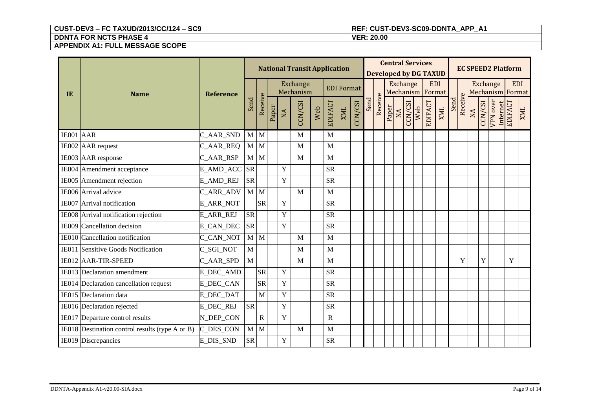# **CUST-DEV3 – FC TAXUD/2013/CC/124 – SC9 REF: CUST-DEV3-SC09-DDNTA\_APP\_A1**

|           |                                                 |                  |              |             |       |                | <b>National Transit Application</b> |     |                       |                   |         |      |         |       | <b>Central Services</b><br><b>Developed by DG TAXUD</b> |         |     |            |            |      |         |           |         | <b>EC SPEED2 Platform</b>           |             |            |
|-----------|-------------------------------------------------|------------------|--------------|-------------|-------|----------------|-------------------------------------|-----|-----------------------|-------------------|---------|------|---------|-------|---------------------------------------------------------|---------|-----|------------|------------|------|---------|-----------|---------|-------------------------------------|-------------|------------|
| IE        | <b>Name</b>                                     | <b>Reference</b> |              |             |       |                | Exchange<br>Mechanism               |     |                       | <b>EDI</b> Format |         |      |         |       | Exchange<br>Mechanism Format                            |         |     | <b>EDI</b> |            |      |         |           |         | <b>Exchange</b><br>Mechanism Format | <b>EDI</b>  |            |
|           |                                                 |                  | Send         | Receive     | Paper | NA             | CCN/CSI                             | Web | <b>EDIFACT</b>        | <b>XML</b>        | CCN/CSI | Send | Receive | Paper | NA                                                      | CCN/CSI | Web | EDIFACT    | <b>XML</b> | Send | Receive | <b>NA</b> | CCN/CSI | <b>VPN</b> over<br>Internet         | EDIFACT     | <b>ZMI</b> |
| IE001 AAR |                                                 | C_AAR_SND        | M            | M           |       |                | M                                   |     | M                     |                   |         |      |         |       |                                                         |         |     |            |            |      |         |           |         |                                     |             |            |
|           | IE002 AAR request                               | C_AAR_REQ        | $M$ $M$      |             |       |                | M                                   |     | M                     |                   |         |      |         |       |                                                         |         |     |            |            |      |         |           |         |                                     |             |            |
|           | IE003 AAR response                              | C_AAR_RSP        | $M$ $M$      |             |       |                | M                                   |     | M                     |                   |         |      |         |       |                                                         |         |     |            |            |      |         |           |         |                                     |             |            |
|           | IE004 Amendment acceptance                      | E_AMD_ACC        | <b>SR</b>    |             |       | $\mathbf Y$    |                                     |     | <b>SR</b>             |                   |         |      |         |       |                                                         |         |     |            |            |      |         |           |         |                                     |             |            |
|           | IE005 Amendment rejection                       | <b>E_AMD_REJ</b> | <b>SR</b>    |             |       | Y              |                                     |     | <b>SR</b>             |                   |         |      |         |       |                                                         |         |     |            |            |      |         |           |         |                                     |             |            |
|           | IE006 Arrival advice                            | C_ARR_ADV        | $M$ $M$      |             |       |                | M                                   |     | M                     |                   |         |      |         |       |                                                         |         |     |            |            |      |         |           |         |                                     |             |            |
|           | IE007 Arrival notification                      | <b>E_ARR_NOT</b> |              | <b>SR</b>   |       | $\overline{Y}$ |                                     |     | <b>SR</b>             |                   |         |      |         |       |                                                         |         |     |            |            |      |         |           |         |                                     |             |            |
|           | IE008 Arrival notification rejection            | <b>E_ARR_REJ</b> | <b>SR</b>    |             |       | $\mathbf Y$    |                                     |     | <b>SR</b>             |                   |         |      |         |       |                                                         |         |     |            |            |      |         |           |         |                                     |             |            |
|           | IE009 Cancellation decision                     | E_CAN_DEC        | <b>SR</b>    |             |       | Y              |                                     |     | <b>SR</b>             |                   |         |      |         |       |                                                         |         |     |            |            |      |         |           |         |                                     |             |            |
|           | IE010 Cancellation notification                 | <b>C_CAN_NOT</b> | $\mathbf{M}$ | M           |       |                | M                                   |     | M                     |                   |         |      |         |       |                                                         |         |     |            |            |      |         |           |         |                                     |             |            |
|           | IE011 Sensitive Goods Notification              | C_SGI_NOT        | M            |             |       |                | M                                   |     | M                     |                   |         |      |         |       |                                                         |         |     |            |            |      |         |           |         |                                     |             |            |
|           | IE012 AAR-TIR-SPEED                             | C_AAR_SPD        | $\mathbf M$  |             |       |                | M                                   |     | M                     |                   |         |      |         |       |                                                         |         |     |            |            |      | Y       |           | Y       |                                     | $\mathbf Y$ |            |
|           | IE013 Declaration amendment                     | <b>E_DEC_AMD</b> |              | <b>SR</b>   |       | $\mathbf Y$    |                                     |     | <b>SR</b>             |                   |         |      |         |       |                                                         |         |     |            |            |      |         |           |         |                                     |             |            |
|           | IE014 Declaration cancellation request          | <b>E_DEC_CAN</b> |              | <b>SR</b>   |       | $\mathbf Y$    |                                     |     | <b>SR</b>             |                   |         |      |         |       |                                                         |         |     |            |            |      |         |           |         |                                     |             |            |
|           | IE015 Declaration data                          | <b>E_DEC_DAT</b> |              | M           |       | $\mathbf Y$    |                                     |     | <b>SR</b>             |                   |         |      |         |       |                                                         |         |     |            |            |      |         |           |         |                                     |             |            |
|           | IE016 Declaration rejected                      | <b>E_DEC_REJ</b> | <b>SR</b>    |             |       | $\mathbf Y$    |                                     |     | <b>SR</b>             |                   |         |      |         |       |                                                         |         |     |            |            |      |         |           |         |                                     |             |            |
|           | IE017 Departure control results                 | N_DEP_CON        |              | $\mathbf R$ |       | $\mathbf Y$    |                                     |     | $\overline{\text{R}}$ |                   |         |      |         |       |                                                         |         |     |            |            |      |         |           |         |                                     |             |            |
|           | IE018 Destination control results (type A or B) | C_DES_CON        | $\mathbf{M}$ | M           |       |                | M                                   |     | M                     |                   |         |      |         |       |                                                         |         |     |            |            |      |         |           |         |                                     |             |            |
|           | IE019 Discrepancies                             | E_DIS_SND        | <b>SR</b>    |             |       | $\mathbf Y$    |                                     |     | <b>SR</b>             |                   |         |      |         |       |                                                         |         |     |            |            |      |         |           |         |                                     |             |            |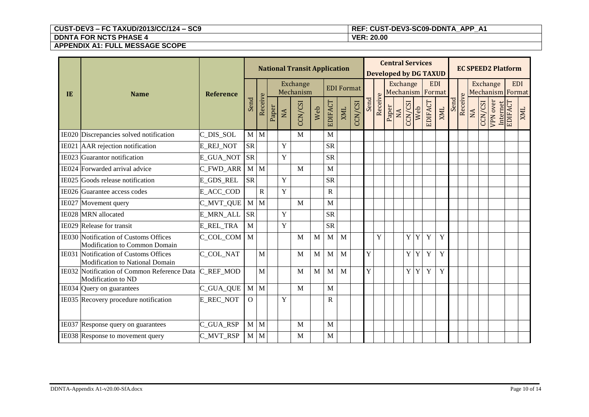# **CUST-DEV3 – FC TAXUD/2013/CC/124 – SC9 REF: CUST-DEV3-SC09-DDNTA\_APP\_A1**

|    |                                                                          |                  |              |             |       |             | <b>National Transit Application</b> |              |                |                   |         |      |         |       | <b>Central Services</b> |                  | <b>Developed by DG TAXUD</b> |            |      |         |    |         | <b>EC SPEED2 Platform</b>           |         |             |
|----|--------------------------------------------------------------------------|------------------|--------------|-------------|-------|-------------|-------------------------------------|--------------|----------------|-------------------|---------|------|---------|-------|-------------------------|------------------|------------------------------|------------|------|---------|----|---------|-------------------------------------|---------|-------------|
| IE | <b>Name</b>                                                              | <b>Reference</b> |              |             |       |             | <b>Exchange</b><br>Mechanism        |              |                | <b>EDI Format</b> |         |      |         |       | <b>Exchange</b>         |                  | Mechanism Format             | <b>EDI</b> |      |         |    |         | <b>Exchange</b><br>Mechanism Format |         | <b>EDI</b>  |
|    |                                                                          |                  | Send         | Receive     | Paper | NA          | CCN/CSI                             | Web          | <b>EDIFACT</b> | <b>XML</b>        | CCN/CSI | Send | Receive | Paper | CCN/CSI<br>NA           | Web              | EDIFACT                      | <b>XML</b> | Send | Receive | NA | CCN/CSI | <b>VPN</b> over<br>Internet         | EDIFACT | <b>TIMX</b> |
|    | IE020 Discrepancies solved notification                                  | C_DIS_SOL        | $M$ $M$      |             |       |             | M                                   |              | M              |                   |         |      |         |       |                         |                  |                              |            |      |         |    |         |                                     |         |             |
|    | IE021 AAR rejection notification                                         | <b>E_REJ_NOT</b> | <b>SR</b>    |             |       | Y           |                                     |              | <b>SR</b>      |                   |         |      |         |       |                         |                  |                              |            |      |         |    |         |                                     |         |             |
|    | IE023 Guarantor notification                                             | <b>E_GUA_NOT</b> | <b>SR</b>    |             |       | Y           |                                     |              | <b>SR</b>      |                   |         |      |         |       |                         |                  |                              |            |      |         |    |         |                                     |         |             |
|    | IE024 Forwarded arrival advice                                           | C_FWD_ARR        | $M$ $M$      |             |       |             | M                                   |              | M              |                   |         |      |         |       |                         |                  |                              |            |      |         |    |         |                                     |         |             |
|    | IE025 Goods release notification                                         | <b>E_GDS_REL</b> | <b>SR</b>    |             |       | $\mathbf Y$ |                                     |              | <b>SR</b>      |                   |         |      |         |       |                         |                  |                              |            |      |         |    |         |                                     |         |             |
|    | IE026 Guarantee access codes                                             | E_ACC_COD        |              | $\mathbf R$ |       | $\mathbf Y$ |                                     |              | $\mathbf R$    |                   |         |      |         |       |                         |                  |                              |            |      |         |    |         |                                     |         |             |
|    | IE027 Movement query                                                     | C_MVT_QUE        | M M          |             |       |             | M                                   |              | M              |                   |         |      |         |       |                         |                  |                              |            |      |         |    |         |                                     |         |             |
|    | IE028 MRN allocated                                                      | E_MRN_ALL        | <b>SR</b>    |             |       | $\mathbf Y$ |                                     |              | <b>SR</b>      |                   |         |      |         |       |                         |                  |                              |            |      |         |    |         |                                     |         |             |
|    | IE029 Release for transit                                                | E_REL_TRA        | M            |             |       | $\mathbf Y$ |                                     |              | <b>SR</b>      |                   |         |      |         |       |                         |                  |                              |            |      |         |    |         |                                     |         |             |
|    | IE030 Notification of Customs Offices<br>Modification to Common Domain   | C_COL_COM M      |              |             |       |             | M                                   | $\mathbf M$  | M              | M                 |         |      | Y       |       |                         | Y<br>$\mathbf Y$ | Y                            | Y          |      |         |    |         |                                     |         |             |
|    | IE031 Notification of Customs Offices<br>Modification to National Domain | C COL NAT        |              | M           |       |             | M                                   | $\mathbf{M}$ | M              | M                 |         | Y    |         |       |                         | Y<br>Y           | Y                            | Y          |      |         |    |         |                                     |         |             |
|    | IE032 Notification of Common Reference Data<br>Modification to ND        | C REF MOD        |              | M           |       |             | M                                   | M            | M              | M                 |         | Y    |         |       |                         | Y<br>$\mathbf Y$ | Y                            | Y          |      |         |    |         |                                     |         |             |
|    | IE034 Query on guarantees                                                | C_GUA_QUE        | M M          |             |       |             | M                                   |              | M              |                   |         |      |         |       |                         |                  |                              |            |      |         |    |         |                                     |         |             |
|    | IE035 Recovery procedure notification                                    | <b>E_REC_NOT</b> | $\mathbf{O}$ |             |       | Y           |                                     |              | $\mathbb{R}$   |                   |         |      |         |       |                         |                  |                              |            |      |         |    |         |                                     |         |             |
|    | IE037 Response query on guarantees                                       | C_GUA_RSP        | $M$ $M$      |             |       |             | M                                   |              | M              |                   |         |      |         |       |                         |                  |                              |            |      |         |    |         |                                     |         |             |
|    | IE038 Response to movement query                                         | C_MVT_RSP        | $M$ $M$      |             |       |             | M                                   |              | M              |                   |         |      |         |       |                         |                  |                              |            |      |         |    |         |                                     |         |             |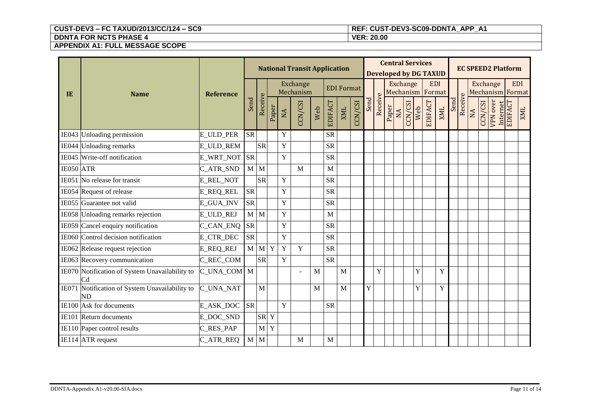# **CUST-DEV3 – FC TAXUD/2013/CC/124 – SC9 REF: CUST-DEV3-SC09-DDNTA\_APP\_A1**

|           |                                                      |                  |                        |            |             |             | <b>National Transit Application</b> |     |                |            |         |                       |         |       |                   |         | <b>Central Services</b> | <b>Developed by DG TAXUD</b> |      |          |           |         | <b>EC SPEED2 Platform</b>      |         |            |  |  |                              |            |  |
|-----------|------------------------------------------------------|------------------|------------------------|------------|-------------|-------------|-------------------------------------|-----|----------------|------------|---------|-----------------------|---------|-------|-------------------|---------|-------------------------|------------------------------|------|----------|-----------|---------|--------------------------------|---------|------------|--|--|------------------------------|------------|--|
| IE        | <b>Name</b>                                          | <b>Reference</b> |                        |            |             |             |                                     |     |                |            |         | Exchange<br>Mechanism |         |       | <b>EDI</b> Format |         |                         |                              |      | Exchange |           |         | <b>EDI</b><br>Mechanism Format |         |            |  |  | Exchange<br>Mechanism Format | <b>EDI</b> |  |
|           |                                                      |                  | Send                   | Receive    | Paper       | NA          | CCN/CSI                             | Web | <b>EDIFACT</b> | <b>XML</b> | CCN/CSI | Send                  | Receive | Paper | NA                | CCN/CSI | EDIFACT<br>Web          | <b>XML</b>                   | Send | Receive  | <b>AN</b> | CCN/CSI | <b>VPN</b> over<br>Internet    | EDIFACT | <b>ZMI</b> |  |  |                              |            |  |
|           | IE043 Unloading permission                           | <b>E_ULD_PER</b> | $\overline{\text{SR}}$ |            |             | Y           |                                     |     | <b>SR</b>      |            |         |                       |         |       |                   |         |                         |                              |      |          |           |         |                                |         |            |  |  |                              |            |  |
|           | IE044 Unloading remarks                              | E_ULD_REM        |                        | <b>SR</b>  |             | $\mathbf Y$ |                                     |     | <b>SR</b>      |            |         |                       |         |       |                   |         |                         |                              |      |          |           |         |                                |         |            |  |  |                              |            |  |
|           | IE045 Write-off notification                         | E_WRT_NOT        | <b>SR</b>              |            |             | $\mathbf Y$ |                                     |     | <b>SR</b>      |            |         |                       |         |       |                   |         |                         |                              |      |          |           |         |                                |         |            |  |  |                              |            |  |
| IE050 ATR |                                                      | C_ATR_SND        | $M$ $M$                |            |             |             | M                                   |     | M              |            |         |                       |         |       |                   |         |                         |                              |      |          |           |         |                                |         |            |  |  |                              |            |  |
|           | IE051 No release for transit                         | E_REL_NOT        |                        | <b>SR</b>  |             | Y           |                                     |     | <b>SR</b>      |            |         |                       |         |       |                   |         |                         |                              |      |          |           |         |                                |         |            |  |  |                              |            |  |
|           | IE054 Request of release                             | E_REQ_REL        | <b>SR</b>              |            |             | Y           |                                     |     | <b>SR</b>      |            |         |                       |         |       |                   |         |                         |                              |      |          |           |         |                                |         |            |  |  |                              |            |  |
|           | IE055 Guarantee not valid                            | E_GUA_INV        | <b>SR</b>              |            |             | $\mathbf Y$ |                                     |     | <b>SR</b>      |            |         |                       |         |       |                   |         |                         |                              |      |          |           |         |                                |         |            |  |  |                              |            |  |
|           | IE058 Unloading remarks rejection                    | E_ULD_REJ        | M                      | M          |             | $\mathbf Y$ |                                     |     | M              |            |         |                       |         |       |                   |         |                         |                              |      |          |           |         |                                |         |            |  |  |                              |            |  |
|           | IE059 Cancel enquiry notification                    | C_CAN_ENQ        | <b>SR</b>              |            |             | $\mathbf Y$ |                                     |     | <b>SR</b>      |            |         |                       |         |       |                   |         |                         |                              |      |          |           |         |                                |         |            |  |  |                              |            |  |
|           | IE060 Control decision notification                  | E_CTR_DEC        | <b>SR</b>              |            |             | $\mathbf Y$ |                                     |     | <b>SR</b>      |            |         |                       |         |       |                   |         |                         |                              |      |          |           |         |                                |         |            |  |  |                              |            |  |
|           | IE062 Release request rejection                      | <b>E_REQ_REJ</b> |                        | $M \mid M$ | $\mathbf Y$ | $\mathbf Y$ | Y                                   |     | <b>SR</b>      |            |         |                       |         |       |                   |         |                         |                              |      |          |           |         |                                |         |            |  |  |                              |            |  |
|           | IE063 Recovery communication                         | C_REC_COM        |                        | <b>SR</b>  |             | Y           |                                     |     | <b>SR</b>      |            |         |                       |         |       |                   |         |                         |                              |      |          |           |         |                                |         |            |  |  |                              |            |  |
|           | IE070 Notification of System Unavailability to<br>Cd | C UNA COM M      |                        |            |             |             | ÷.                                  | M   |                | M          |         |                       | Y       |       |                   |         | Y                       | Y                            |      |          |           |         |                                |         |            |  |  |                              |            |  |
|           | IE071 Notification of System Unavailability to<br>ND | <b>C_UNA_NAT</b> |                        | M          |             |             |                                     | M   |                | M          |         | Y                     |         |       |                   |         | Y                       | Y                            |      |          |           |         |                                |         |            |  |  |                              |            |  |
|           | IE100 Ask for documents                              | E_ASK_DOC        | <b>SR</b>              |            |             | Y           |                                     |     | <b>SR</b>      |            |         |                       |         |       |                   |         |                         |                              |      |          |           |         |                                |         |            |  |  |                              |            |  |
|           | IE101 Return documents                               | E_DOC_SND        |                        | <b>SR</b>  | $\mathbf Y$ |             |                                     |     |                |            |         |                       |         |       |                   |         |                         |                              |      |          |           |         |                                |         |            |  |  |                              |            |  |
|           | IE110 Paper control results                          | C_RES_PAP        |                        | M          | $\mathbf Y$ |             |                                     |     |                |            |         |                       |         |       |                   |         |                         |                              |      |          |           |         |                                |         |            |  |  |                              |            |  |
|           | IE114 ATR request                                    | C_ATR_REQ        | M                      | M          |             |             | M                                   |     | M              |            |         |                       |         |       |                   |         |                         |                              |      |          |           |         |                                |         |            |  |  |                              |            |  |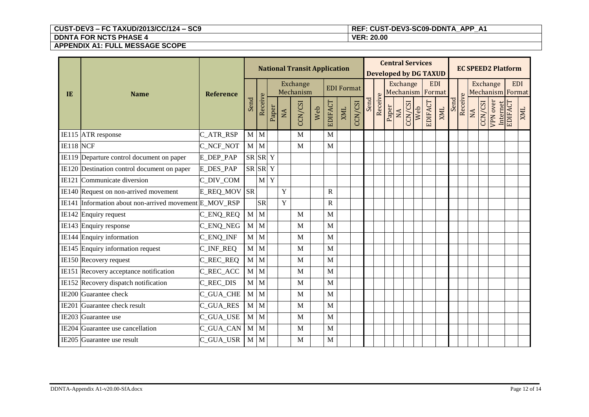# **CUST-DEV3 – FC TAXUD/2013/CC/124 – SC9 REF: CUST-DEV3-SC09-DDNTA\_APP\_A1**

|              |                                                        |                  |              |              |             |    | <b>National Transit Application</b> |     |                |                   |         |      |         |       |                 |         | <b>Central Services</b> | <b>Developed by DG TAXUD</b>   |      |         |           |         | <b>EC SPEED2 Platform</b>           |            |            |
|--------------|--------------------------------------------------------|------------------|--------------|--------------|-------------|----|-------------------------------------|-----|----------------|-------------------|---------|------|---------|-------|-----------------|---------|-------------------------|--------------------------------|------|---------|-----------|---------|-------------------------------------|------------|------------|
| IE           | <b>Name</b>                                            | <b>Reference</b> |              |              |             |    | Exchange<br>Mechanism               |     |                | <b>EDI</b> Format |         |      |         |       | <b>Exchange</b> |         |                         | <b>EDI</b><br>Mechanism Format |      |         |           |         | <b>Exchange</b><br>Mechanism Format | <b>EDI</b> |            |
|              |                                                        |                  | Send         | Receive      | Paper       | NA | CCN/CSI                             | Web | <b>EDIFACT</b> | <b>XML</b>        | CCN/CSI | Send | Receive | Paper | NA              | CCN/CSI | EDIFACT<br>Web          | <b>XML</b>                     | Send | Receive | <b>NA</b> | CCN/CSI | <b>VPN</b> over<br>Internet         | EDIFACT    | <b>ZMI</b> |
|              | IE115 ATR response                                     | C_ATR_RSP        | $\mathbf{M}$ | M            |             |    | M                                   |     | M              |                   |         |      |         |       |                 |         |                         |                                |      |         |           |         |                                     |            |            |
| IE118 NCF    |                                                        | C_NCF_NOT        | $\mathbf{M}$ | $\mathbf{M}$ |             |    | M                                   |     | M              |                   |         |      |         |       |                 |         |                         |                                |      |         |           |         |                                     |            |            |
|              | IE119 Departure control document on paper              | E_DEP_PAP        | SR SR        |              | $\mathbf Y$ |    |                                     |     |                |                   |         |      |         |       |                 |         |                         |                                |      |         |           |         |                                     |            |            |
|              | IE120 Destination control document on paper            | <b>E_DES_PAP</b> | SR SR        |              | $\mathbf Y$ |    |                                     |     |                |                   |         |      |         |       |                 |         |                         |                                |      |         |           |         |                                     |            |            |
|              | IE121 Communicate diversion                            | C_DIV_COM        |              | M            | Y           |    |                                     |     |                |                   |         |      |         |       |                 |         |                         |                                |      |         |           |         |                                     |            |            |
|              | IE140 Request on non-arrived movement                  | E_REQ_MOV        | <b>SR</b>    |              |             | Y  |                                     |     | $\mathbf R$    |                   |         |      |         |       |                 |         |                         |                                |      |         |           |         |                                     |            |            |
|              | IE141 Information about non-arrived movement E MOV RSP |                  |              | <b>SR</b>    |             | Y  |                                     |     | $\mathbf R$    |                   |         |      |         |       |                 |         |                         |                                |      |         |           |         |                                     |            |            |
|              | IE142 Enquiry request                                  | C_ENQ_REQ        | $\mathbf M$  | $\mathbf{M}$ |             |    | M                                   |     | M              |                   |         |      |         |       |                 |         |                         |                                |      |         |           |         |                                     |            |            |
|              | IE143 Enquiry response                                 | $C_FNQ_NEG$      | $\mathbf{M}$ | $\mathbf{M}$ |             |    | M                                   |     | M              |                   |         |      |         |       |                 |         |                         |                                |      |         |           |         |                                     |            |            |
|              | IE144 Enquiry information                              | C_ENQ_INF        | $\mathbf{M}$ | M            |             |    | M                                   |     | M              |                   |         |      |         |       |                 |         |                         |                                |      |         |           |         |                                     |            |            |
|              | IE145 Enquiry information request                      | C_INF_REQ        | $\mathbf M$  | M            |             |    | M                                   |     | M              |                   |         |      |         |       |                 |         |                         |                                |      |         |           |         |                                     |            |            |
|              | IE150 Recovery request                                 | C_REC_REQ        | $\mathbf M$  | M            |             |    | M                                   |     | M              |                   |         |      |         |       |                 |         |                         |                                |      |         |           |         |                                     |            |            |
|              | IE151 Recovery acceptance notification                 | C_REC_ACC        | $\mathbf{M}$ | M            |             |    | M                                   |     | M              |                   |         |      |         |       |                 |         |                         |                                |      |         |           |         |                                     |            |            |
|              | IE152 Recovery dispatch notification                   | C_REC_DIS        | $\mathbf M$  | M            |             |    | M                                   |     | M              |                   |         |      |         |       |                 |         |                         |                                |      |         |           |         |                                     |            |            |
|              | IE200 Guarantee check                                  | C_GUA_CHE        | $\mathbf M$  | M            |             |    | M                                   |     | M              |                   |         |      |         |       |                 |         |                         |                                |      |         |           |         |                                     |            |            |
| <b>IE201</b> | Guarantee check result                                 | C_GUA_RES        | M            | M            |             |    | M                                   |     | M              |                   |         |      |         |       |                 |         |                         |                                |      |         |           |         |                                     |            |            |
|              | IE203 Guarantee use                                    | C_GUA_USE        | $\mathbf{M}$ | M            |             |    | M                                   |     | M              |                   |         |      |         |       |                 |         |                         |                                |      |         |           |         |                                     |            |            |
|              | IE204 Guarantee use cancellation                       | C_GUA_CAN        | $\mathbf{M}$ | M            |             |    | M                                   |     | M              |                   |         |      |         |       |                 |         |                         |                                |      |         |           |         |                                     |            |            |
|              | IE205 Guarantee use result                             | C_GUA_USR        | $\mathbf{M}$ | M            |             |    | M                                   |     | M              |                   |         |      |         |       |                 |         |                         |                                |      |         |           |         |                                     |            |            |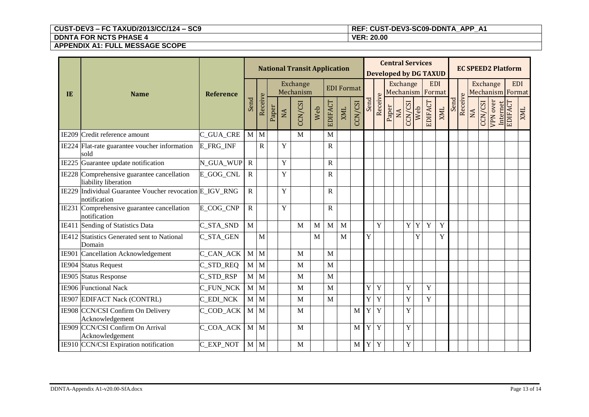# **CUST-DEV3 – FC TAXUD/2013/CC/124 – SC9 REF: CUST-DEV3-SC09-DDNTA\_APP\_A1**

| IE | <b>Name</b>                                                             | <b>Reference</b> |                |              |  | <b>Central Services</b><br><b>National Transit Application</b><br><b>Developed by DG TAXUD</b> |                       |              |              |                   |            |                |                |                              |       | <b>EC SPEED2 Platform</b> |                |            |              |      |         |    |          |                                |         |
|----|-------------------------------------------------------------------------|------------------|----------------|--------------|--|------------------------------------------------------------------------------------------------|-----------------------|--------------|--------------|-------------------|------------|----------------|----------------|------------------------------|-------|---------------------------|----------------|------------|--------------|------|---------|----|----------|--------------------------------|---------|
|    |                                                                         |                  |                |              |  |                                                                                                | Exchange<br>Mechanism |              |              | <b>EDI</b> Format |            |                |                | Exchange<br>Mechanism Format |       |                           |                | <b>EDI</b> |              |      |         |    | Exchange | <b>EDI</b><br>Mechanism Format |         |
|    |                                                                         |                  | Send           | Receive      |  | Paper                                                                                          | NA                    | CCN/CSI      | Web          | EDIFACT           | <b>XML</b> | CCN/CSI        | Send           | Receive                      | Paper | NA                        | CCN/CSI<br>Web | EDIFACT    | <b>ZIMIX</b> | Send | Receive | NA | CCN/CSI  | VPN over<br>Internet           | EDIFACT |
|    | IE209 Credit reference amount                                           | C_GUA_CRE        | $M$ $M$        |              |  |                                                                                                | M                     |              | M            |                   |            |                |                |                              |       |                           |                |            |              |      |         |    |          |                                |         |
|    | IE224 Flat-rate guarantee voucher information<br>sold                   | <b>E_FRG_INF</b> |                | $\mathbf R$  |  | $\mathbf Y$                                                                                    |                       |              | $\mathbb{R}$ |                   |            |                |                |                              |       |                           |                |            |              |      |         |    |          |                                |         |
|    | IE225 Guarantee update notification                                     | N_GUA_WUP        | $\overline{R}$ |              |  | $\mathbf Y$                                                                                    |                       |              | $\mathbb{R}$ |                   |            |                |                |                              |       |                           |                |            |              |      |         |    |          |                                |         |
|    | IE228 Comprehensive guarantee cancellation<br>liability liberation      | E_GOG_CNL        | ${\bf R}$      |              |  | $\mathbf Y$                                                                                    |                       |              | $\mathbb{R}$ |                   |            |                |                |                              |       |                           |                |            |              |      |         |    |          |                                |         |
|    | IE229 Individual Guarantee Voucher revocation E_IGV_RNG<br>notification |                  | ${\bf R}$      |              |  | Y                                                                                              |                       |              | $\mathbb{R}$ |                   |            |                |                |                              |       |                           |                |            |              |      |         |    |          |                                |         |
|    | IE231 Comprehensive guarantee cancellation<br>notification              | E COG CNP        | $\mathbf R$    |              |  | Y                                                                                              |                       |              | $\mathbb{R}$ |                   |            |                |                |                              |       |                           |                |            |              |      |         |    |          |                                |         |
|    | IE411 Sending of Statistics Data                                        | C_STA_SND        | $\mathbf M$    |              |  |                                                                                                | M                     | $\mathbf{M}$ | $\mathbf{M}$ | M                 |            |                | $\mathbf{Y}$   |                              |       | Y<br>Y                    | Y              | Y          |              |      |         |    |          |                                |         |
|    | IE412 Statistics Generated sent to National<br>Domain                   | C_STA_GEN        |                | $\mathbf{M}$ |  |                                                                                                |                       | $\mathbf{M}$ |              | M                 |            | Y              |                |                              |       | Y                         |                | Y          |              |      |         |    |          |                                |         |
|    | IE901 Cancellation Acknowledgement                                      | C_CAN_ACK        | $M$ $M$        |              |  |                                                                                                | M                     |              | M            |                   |            |                |                |                              |       |                           |                |            |              |      |         |    |          |                                |         |
|    | IE904 Status Request                                                    | C_STD_REQ        | M              | $\mathbf{M}$ |  |                                                                                                | M                     |              | M            |                   |            |                |                |                              |       |                           |                |            |              |      |         |    |          |                                |         |
|    | IE905 Status Response                                                   | C_STD_RSP        | $M$ $M$        |              |  |                                                                                                | M                     |              | M            |                   |            |                |                |                              |       |                           |                |            |              |      |         |    |          |                                |         |
|    | IE906 Functional Nack                                                   | C_FUN_NCK        | $M$ $M$        |              |  |                                                                                                | M                     |              | M            |                   |            |                | Y Y            |                              |       | Y                         | Y              |            |              |      |         |    |          |                                |         |
|    | IE907 EDIFACT Nack (CONTRL)                                             | <b>C_EDI_NCK</b> | $M$ $M$        |              |  |                                                                                                | M                     |              | $\mathbf{M}$ |                   |            |                | Y Y            |                              |       | Y                         | Y              |            |              |      |         |    |          |                                |         |
|    | IE908 CCN/CSI Confirm On Delivery<br>Acknowledgement                    | C_COD_ACK        | $M$ $M$        |              |  |                                                                                                | M                     |              |              |                   | M          | Y Y            |                |                              |       | Y                         |                |            |              |      |         |    |          |                                |         |
|    | IE909 CCN/CSI Confirm On Arrival<br>Acknowledgement                     | C_COA_ACK        | $M$ $M$        |              |  |                                                                                                | M                     |              |              |                   | M          | Y <sub>1</sub> | $\overline{Y}$ |                              |       | Y                         |                |            |              |      |         |    |          |                                |         |
|    | IE910 CCN/CSI Expiration notification                                   | C_EXP_NOT        | $M$ $M$        |              |  |                                                                                                | M                     |              |              |                   | M          | Y              | $\mathbf Y$    |                              |       | Y                         |                |            |              |      |         |    |          |                                |         |